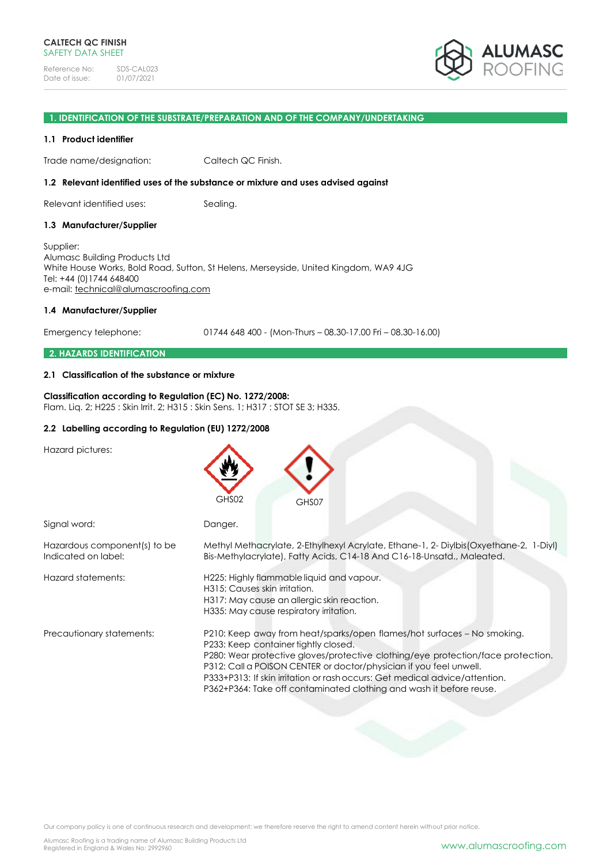

### **1. IDENTIFICATION OF THE SUBSTRATE/PREPARATION AND OF THE COMPANY/UNDERTAKING**

### **1.1 Product identifier**

Trade name/designation: Caltech QC Finish.

### **1.2 Relevant identified uses of the substance or mixture and uses advised against**

Relevant identified uses: Sealing.

### **1.3 Manufacturer/Supplier**

Supplier: Alumasc Building Products Ltd White House Works, Bold Road, Sutton, St Helens, Merseyside, United Kingdom, WA9 4JG Tel: +44 (0)1744 648400 e-mail: [technical@alumascroofing.com](mailto:technical@alumascroofing.com)

### **1.4 Manufacturer/Supplier**

Emergency telephone: 01744 648 400 - (Mon-Thurs – 08.30-17.00 Fri – 08.30-16.00)

### **2. HAZARDS IDENTIFICATION**

### **2.1 Classification of the substance or mixture**

### **Classification according to Regulation (EC) No. 1272/2008:** Flam. Liq. 2; H225 : Skin Irrit. 2; H315 : Skin Sens. 1; H317 : STOT SE 3; H335.

### **2.2 Labelling according to Regulation (EU) 1272/2008**

Hazard pictures:

|                                                     | GHS02<br>GHS07                                                                                                                                                                                                                                                                                                                                                                                                                  |
|-----------------------------------------------------|---------------------------------------------------------------------------------------------------------------------------------------------------------------------------------------------------------------------------------------------------------------------------------------------------------------------------------------------------------------------------------------------------------------------------------|
| Signal word:                                        | Danger.                                                                                                                                                                                                                                                                                                                                                                                                                         |
| Hazardous component(s) to be<br>Indicated on label: | Methyl Methacrylate, 2-Ethylhexyl Acrylate, Ethane-1, 2- Diylbis (Oxyethane-2, 1-Diyl)<br>Bis-Methylacrylate), Fatty Acids, C14-18 And C16-18-Unsatd., Maleated.                                                                                                                                                                                                                                                                |
| Hazard statements:                                  | H225: Highly flammable liquid and vapour.<br>H315: Causes skin irritation.<br>H317: May cause an allergic skin reaction.<br>H335: May cause respiratory irritation.                                                                                                                                                                                                                                                             |
| Precautionary statements:                           | P210: Keep away from heat/sparks/open flames/hot surfaces - No smoking.<br>P233: Keep container tightly closed.<br>P280: Wear protective gloves/protective clothing/eye protection/face protection.<br>P312: Call a POISON CENTER or doctor/physician if you feel unwell.<br>P333+P313: If skin irritation or rash occurs: Get medical advice/attention.<br>P362+P364: Take off contaminated clothing and wash it before reuse. |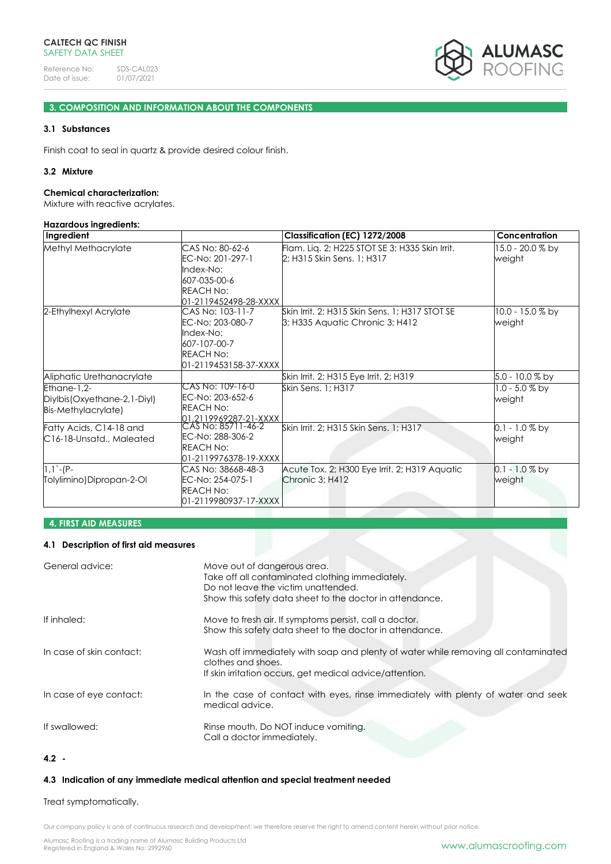

# **3. COMPOSITION AND INFORMATION ABOUT THE COMPONENTS**

# **3.1 Substances**

Finish coat to seal in quartz & provide desired colour finish.

### **3.2 Mixture**

#### **Chemical characterization:**

Mixture with reactive acrylates.

#### **Hazardous ingredients:**

| Ingredient                                                          |                                                                                                                | Classification (EC) 1272/2008                                                     | Concentration               |
|---------------------------------------------------------------------|----------------------------------------------------------------------------------------------------------------|-----------------------------------------------------------------------------------|-----------------------------|
| Methyl Methacrylate                                                 | CAS No: 80-62-6<br>EC-No: 201-297-1<br>Index-No:<br>607-035-00-6<br><b>REACH No:</b><br>01-2119452498-28-XXXX  | Flam. Liq. 2; H225 STOT SE 3; H335 Skin Irrit.<br>2; H315 Skin Sens. 1; H317      | 15.0 - 20.0 % by<br>weight  |
| 2-Ethylhexyl Acrylate                                               | CAS No: 103-11-7<br>EC-No: 203-080-7<br>Index-No:<br>607-107-00-7<br><b>REACH No:</b><br>01-2119453158-37-XXXX | Skin Irrit, 2; H315 Skin Sens, 1; H317 STOT SE<br>3; H335 Aquatic Chronic 3; H412 | 10.0 - 15.0 % by<br>weight  |
| Aliphatic Urethanacrylate                                           |                                                                                                                | Skin Irrit. 2; H315 Eye Irrit. 2; H319                                            | 5.0 - 10.0 % by             |
| Ethane-1.2-<br>Diylbis (Oxyethane-2, 1-Diyl)<br>Bis-Methylacrylate) | CAS No: 109-16-0<br>EC-No: 203-652-6<br><b>REACH No:</b>                                                       | Skin Sens. 1: H317                                                                | $1.0 - 5.0 \%$ by<br>weight |
| Fatty Acids, C14-18 and<br>C16-18-Unsatd., Maleated                 | 01.2119969287-21-XXXX<br>CAS No: 85711-46-2<br>EC-No: 288-306-2<br><b>REACH No:</b><br>01-2119976378-19-XXXX   | Skin Irrit. 2; H315 Skin Sens. 1; H317                                            | $0.1 - 1.0 \%$ by<br>weight |
| $1,1$ -(P-<br>Tolylimino)Dipropan-2-Ol                              | CAS No: 38668-48-3<br>EC-No: 254-075-1<br><b>REACH No:</b><br>01-2119980937-17-XXXX                            | Acute Tox. 2; H300 Eye Irrit. 2; H319 Aquatic<br>Chronic 3; H412                  | 0.1 - 1.0 % by<br>weight    |

# **4. FIRST AID MEASURES**

### **4.1 Description of first aid measures**

| General advice:          | Move out of dangerous area.<br>Take off all contaminated clothing immediately.<br>Do not leave the victim unattended.<br>Show this safety data sheet to the doctor in attendance. |
|--------------------------|-----------------------------------------------------------------------------------------------------------------------------------------------------------------------------------|
| If inhaled:              | Move to fresh air. If symptoms persist, call a doctor.<br>Show this safety data sheet to the doctor in attendance.                                                                |
| In case of skin contact: | Wash off immediately with soap and plenty of water while removing all contaminated<br>clothes and shoes.<br>If skin irritation occurs, get medical advice/attention.              |
| In case of eye contact:  | In the case of contact with eyes, rinse immediately with plenty of water and seek<br>medical advice.                                                                              |
| If swallowed:            | Rinse mouth. Do NOT induce vomiting.<br>Call a doctor immediately.                                                                                                                |

# **4.2 -**

# **4.3 Indication of any immediate medical attention and special treatment needed**

# Treat symptomatically.

Our company policy is one of continuous research and development; we therefore reserve the right to amend content herein without prior notice.

Alumasc Roofing is a trading name of Alumasc Building Products Ltd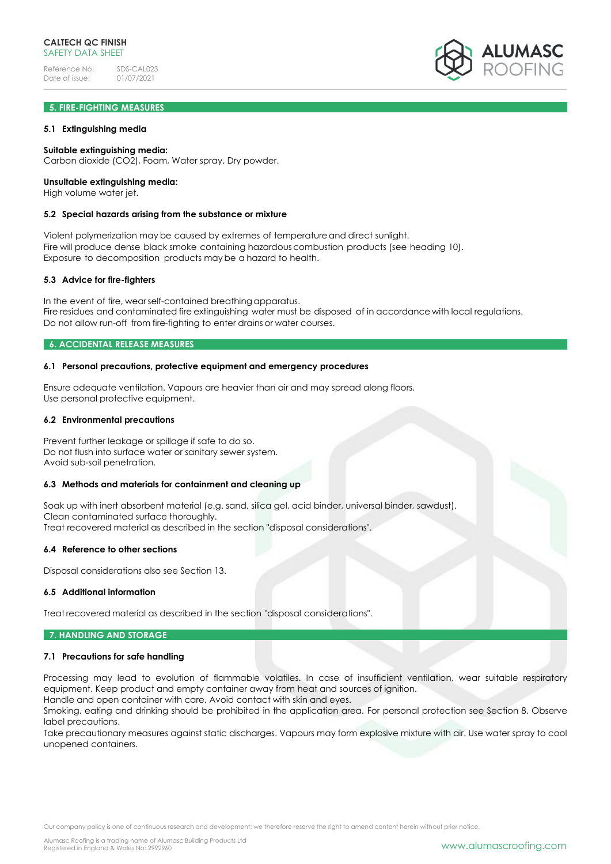# **5. FIRE-FIGHTING MEASURES**

### **5.1 Extinguishing media**

### **Suitable extinguishing media:**

Carbon dioxide (CO2), Foam, Water spray, Dry powder.

### **Unsuitable extinguishing media:**

High volume water jet.

### **5.2 Special hazards arising from the substance or mixture**

Violent polymerization may be caused by extremes of temperatureand direct sunlight. Fire will produce dense black smoke containing hazardous combustion products (see heading 10). Exposure to decomposition products may be a hazard to health.

### **5.3 Advice for fire-fighters**

In the event of fire, wearself-contained breathing apparatus. Fire residues and contaminated fire extinguishing water must be disposed of in accordance with local regulations. Do not allow run-off from fire-fighting to enter drains or water courses.

### **6. ACCIDENTAL RELEASE MEASURES**

### **6.1 Personal precautions, protective equipment and emergency procedures**

Ensure adequate ventilation. Vapours are heavier than air and may spread along floors. Use personal protective equipment.

### **6.2 Environmental precautions**

Prevent further leakage or spillage if safe to do so. Do not flush into surface water or sanitary sewer system. Avoid sub-soil penetration.

### **6.3 Methods and materials for containment and cleaning up**

Soak up with inert absorbent material (e.g. sand, silica gel, acid binder, universal binder, sawdust). Clean contaminated surface thoroughly. Treat recovered material as described in the section "disposal considerations".

#### **6.4 Reference to other sections**

Disposal considerations also see Section 13.

### **6.5 Additional information**

Treat recovered material as described in the section "disposal considerations".

### **7. HANDLING AND STORAGE**

### **7.1 Precautions for safe handling**

Processing may lead to evolution of flammable volatiles. In case of insufficient ventilation, wear suitable respiratory equipment. Keep product and empty container away from heat and sources of ignition. Handle and open container with care. Avoid contact with skin and eyes.

Smoking, eating and drinking should be prohibited in the application area. For personal protection see Section 8. Observe label precautions.

Take precautionary measures against static discharges. Vapours may form explosive mixture with air. Use water spray to cool unopened containers.

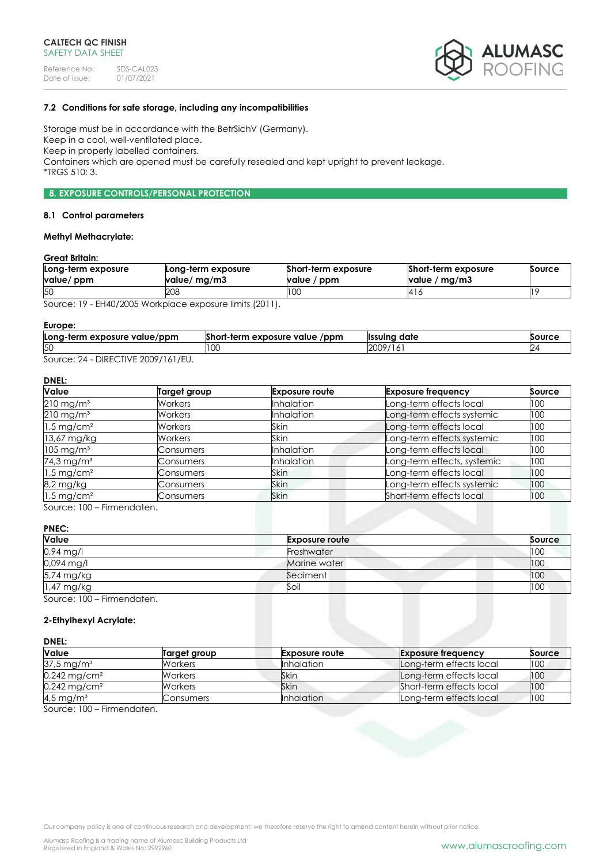

# **7.2 Conditions for safe storage, including any incompatibilities**

Storage must be in accordance with the BetrSichV (Germany). Keep in a cool, well-ventilated place. Keep in properly labelled containers. Containers which are opened must be carefully resealed and kept upright to prevent leakage. \*TRGS 510: 3.

# **8. EXPOSURE CONTROLS/PERSONAL PROTECTION**

### **8.1 Control parameters**

# **Methyl Methacrylate:**

# **Great Britain:**

| Long-term exposure<br>value/ ppm | Long-term exposure<br>value/ mg/m3 | Short-term exposure<br>value / ppm | Short-term exposure<br>value / mg/m3 | Source |
|----------------------------------|------------------------------------|------------------------------------|--------------------------------------|--------|
| 50                               | 208                                | I UU                               | 416                                  |        |

Source: 19 - EH40/2005 Workplace exposure limits (2011).

### **Europe:**

| Long-term exposure value/ppm | Short-term exposure value<br>/ppm | <sup>.</sup> date<br><b>Ilssuina</b> | Source |
|------------------------------|-----------------------------------|--------------------------------------|--------|
| 50                           | LU.                               | 2009<br>19/<br>.                     |        |
| DIDFOTIVIF                   |                                   |                                      |        |

Source: 24 - DIRECTIVE 2009/161/EU.

# **DNEL:**

| <b>Value</b>             | Target group   | <b>Exposure route</b> | <b>Exposure frequency</b>   | Source |
|--------------------------|----------------|-----------------------|-----------------------------|--------|
| $210 \,\mathrm{mg/m^3}$  | Workers        | <b>Inhalation</b>     | Long-term effects local     | 100    |
| $210$ mg/m <sup>3</sup>  | Workers        | <b>Inhalation</b>     | Long-term effects systemic  | 100    |
| $1.5 \,\mathrm{mg/cm^2}$ | <b>Workers</b> | Skin                  | Long-term effects local     | 100    |
| 13,67 mg/kg              | Workers        | <b>Skin</b>           | Long-term effects systemic  | 100    |
| $105 \,\mathrm{mg/m^3}$  | Consumers      | <b>Inhalation</b>     | Long-term effects local     | 100    |
| 74,3 mg/m <sup>3</sup>   | Consumers      | Inhalation            | Long-term effects, systemic | 100    |
| $1.5 \,\mathrm{mg/cm^2}$ | Consumers      | Skin                  | Long-term effects local     | 100    |
| 8,2 mg/kg                | Consumers      | <b>Skin</b>           | Long-term effects systemic  | 100    |
| $1.5$ mg/cm <sup>2</sup> | Consumers      | <b>Skin</b>           | Short-term effects local    | 100    |

Source: 100 – Firmendaten.

# **PNEC:**

| Value                      | <b>Exposure route</b> | Source |
|----------------------------|-----------------------|--------|
| 0,94 mg/l                  | Freshwater            | 100    |
| 0,094 mg/l                 | Marine water          | 100    |
| 5,74 mg/kg                 | Sediment              | 100    |
| 1,47 mg/kg                 | Soil                  | 100    |
| Source: 100 – Firmendaten. |                       |        |

# **2-Ethylhexyl Acrylate:**

# **DNEL:**

| Value                      | Target group   | <b>Exposure route</b> | <b>Exposure frequency</b> | Source |
|----------------------------|----------------|-----------------------|---------------------------|--------|
| $37.5 \,\mathrm{mg/m^3}$   | <b>Workers</b> | <b>Inhalation</b>     | Long-term effects local   | 100    |
| $0,242$ mg/cm <sup>2</sup> | Workers        | Skin                  | Long-term effects local   | 100    |
| $0.242 \,\mathrm{mg/cm^2}$ | <b>Workers</b> | Skin                  | Short-term effects local  | 100    |
| $4.5 \,\mathrm{mg/m^3}$    | Consumers      | <b>Inhalation</b>     | Long-term effects local   | 100    |

Source: 100 – Firmendaten.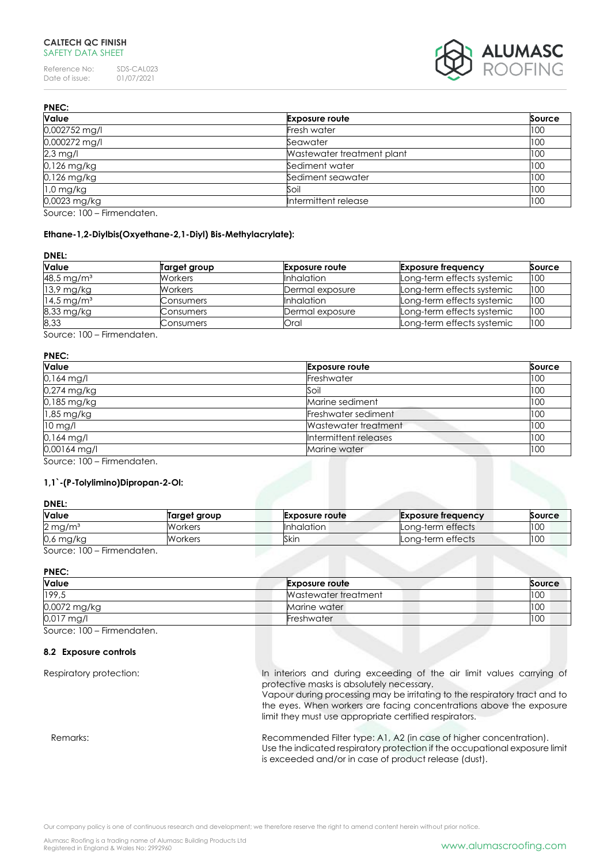Reference No: SDS-CAL023<br>Date of issue: 01/07/2021 Date of issue:



| <b>PNEC:</b>                                                                                                                                                                                                                                                                                                                               |                            |        |  |  |
|--------------------------------------------------------------------------------------------------------------------------------------------------------------------------------------------------------------------------------------------------------------------------------------------------------------------------------------------|----------------------------|--------|--|--|
| Value                                                                                                                                                                                                                                                                                                                                      | <b>Exposure route</b>      | Source |  |  |
| 0,002752 mg/l                                                                                                                                                                                                                                                                                                                              | Fresh water                | 100    |  |  |
| 0,000272 mg/l                                                                                                                                                                                                                                                                                                                              | Seawater                   | 100    |  |  |
| $2,3$ mg/l                                                                                                                                                                                                                                                                                                                                 | Wastewater treatment plant | 100    |  |  |
| 0,126 mg/kg                                                                                                                                                                                                                                                                                                                                | Sediment water             | 100    |  |  |
| $0.126$ mg/kg                                                                                                                                                                                                                                                                                                                              | Sediment seawater          | 100    |  |  |
| $1.0$ mg/kg                                                                                                                                                                                                                                                                                                                                | Soil                       | 100    |  |  |
| 0,0023 mg/kg                                                                                                                                                                                                                                                                                                                               | Intermittent release       | 100    |  |  |
| $C_{\text{a}1}$ $C_{\text{b}}$ $C_{\text{b}}$ $C_{\text{b}}$ $C_{\text{b}}$ $C_{\text{c}}$ $C_{\text{c}}$ $C_{\text{c}}$ $C_{\text{c}}$ $C_{\text{c}}$ $C_{\text{c}}$ $C_{\text{c}}$ $C_{\text{c}}$ $C_{\text{c}}$ $C_{\text{c}}$ $C_{\text{c}}$ $C_{\text{c}}$ $C_{\text{c}}$ $C_{\text{c}}$ $C_{\text{c}}$ $C_{\text{c}}$ $C_{\text{c}}$ |                            |        |  |  |

Source: 100 – Firmendaten.

# **Ethane-1,2-Diylbis(Oxyethane-2,1-Diyl) Bis-Methylacrylate):**

### **DNEL:**

| <b>Value</b>             | Target group   | <b>Exposure route</b> | <b>Exposure frequency</b>  | Source |
|--------------------------|----------------|-----------------------|----------------------------|--------|
| 48,5 mg/m <sup>3</sup>   | Workers        | <b>Inhalation</b>     | Long-term effects systemic | 100    |
| $13.9$ mg/kg             | <b>Workers</b> | Dermal exposure       | Long-term effects systemic | 100    |
| $14.5 \,\mathrm{mg/m^3}$ | Consumers      | <b>Inhalation</b>     | Long-term effects systemic | 100    |
| 8,33 mg/kg               | Consumers      | Dermal exposure       | Long-term effects systemic | 100    |
| 8,33                     | Consumers      | Oral                  | Long-term effects systemic | 100    |

Source: 100 – Firmendaten.

# **PNEC:**

| <b>Value</b> | <b>Exposure route</b> | Source |
|--------------|-----------------------|--------|
| $0,164$ mg/l | Freshwater            | 100    |
| 0,274 mg/kg  | Soil                  | 100    |
| 0,185 mg/kg  | Marine sediment       | 100    |
| 1,85 mg/kg   | Freshwater sediment   | 100    |
| 10 mg/l      | Wastewater treatment  | 100    |
| $0,164$ mg/l | Intermittent releases | 100    |
| 0,00164 mg/l | Marine water          | 100    |

Source: 100 – Firmendaten.

### **1,1`-(P-Tolylimino)Dipropan-2-Ol:**

# **DNEL:**

| Value                              | Target group | <b>Exposure route</b> | <b>Exposure frequency</b> | Source |
|------------------------------------|--------------|-----------------------|---------------------------|--------|
| $2 \,\mathrm{mg/m^3}$              | Workers      | <b>Inhalation</b>     | Long-term effects         | 100    |
| $0.6$ mg/kg                        | Workers      | Skin                  | Long-term effects         | 100    |
| 0.100<br>The company of the format |              |                       |                           |        |

Source: 100 – Firmendaten.

# **PNEC:**

| Value        | <b>Exposure route</b> | Source |
|--------------|-----------------------|--------|
| 199,5        | Wastewater treatment  | 100    |
| 0,0072 mg/kg | Marine water          | 100    |
| $0,017$ mg/l | Freshwater            | 100    |

Source: 100 – Firmendaten.

### **8.2 Exposure controls**

Respiratory protection: In interiors and during exceeding of the air limit values carrying of protective masks is absolutely necessary.

Vapour during processing may be irritating to the respiratory tract and to the eyes. When workers are facing concentrations above the exposure limit they must use appropriate certified respirators.

Remarks: Remarks: Recommended Filter type: A1, A2 (in case of higher concentration). Use the indicated respiratory protection if the occupational exposure limit is exceeded and/or in case of product release (dust).

Our company policy is one of continuous research and development; we therefore reserve the right to amend content herein without prior notice.

Alumasc Roofing is a trading name of Alumasc Building Products Ltd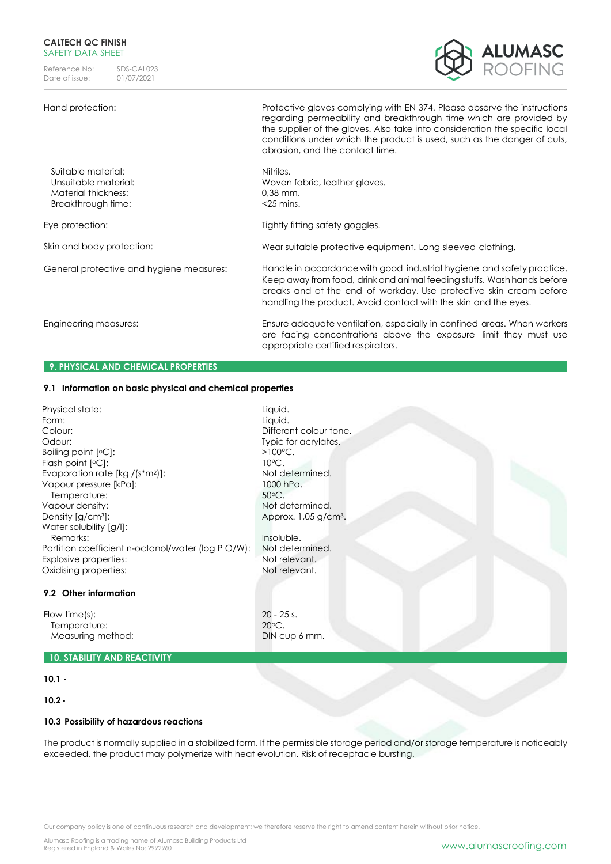Reference No: SDS-CAL023<br>Date of issue: 01/07/2021 Date of issue:

# Hand protection: Protective gloves complying with EN 374. Please observe the instructions



|                                                                                         | regarding permeability and breakthrough time which are provided by<br>the supplier of the gloves. Also take into consideration the specific local<br>conditions under which the product is used, such as the danger of cuts,<br>abrasion, and the contact time.                            |
|-----------------------------------------------------------------------------------------|--------------------------------------------------------------------------------------------------------------------------------------------------------------------------------------------------------------------------------------------------------------------------------------------|
| Suitable material:<br>Unsuitable material:<br>Material thickness:<br>Breakthrough time: | Nitriles.<br>Woven fabric, leather gloves.<br>$0,38$ mm.<br>$<$ 25 mins.                                                                                                                                                                                                                   |
| Eye protection:                                                                         | Tightly fitting safety goggles.                                                                                                                                                                                                                                                            |
| Skin and body protection:                                                               | Wear suitable protective equipment. Long sleeved clothing.                                                                                                                                                                                                                                 |
| General protective and hygiene measures:                                                | Handle in accordance with good industrial hygiene and safety practice.<br>Keep away from food, drink and animal feeding stuffs. Wash hands before<br>breaks and at the end of workday. Use protective skin cream before<br>handling the product. Avoid contact with the skin and the eyes. |
| Engineering measures:                                                                   | Ensure adequate ventilation, especially in confined areas. When workers<br>are facing concentrations above the exposure limit they must use<br>appropriate certified respirators.                                                                                                          |
| <b>9. PHYSICAL AND CHEMICAL PROPERTIES</b>                                              |                                                                                                                                                                                                                                                                                            |

# **9.1 Information on basic physical and chemical properties**

| Physical state:<br>Form:<br>Colour:<br>Odour:<br>Boiling point $[°C]$ :<br>Flash point $[°C]$ :<br>Evaporation rate $[kg / (s* m2)]$ :<br>Vapour pressure [kPa]:<br>Temperature:<br>Vapour density:<br>Density $\left[\frac{G}{cm^3}\right]$ :<br>Water solubility [g/l]:<br>Remarks:<br>Partition coefficient n-octanol/water (log PO/W):<br>Explosive properties:<br>Oxidising properties:<br>9.2 Other information | Liquid.<br>Liquid.<br>Different colour tone.<br>Typic for acrylates.<br>$>100^{\circ}$ C.<br>$10^{\circ}$ C.<br>Not determined.<br>1000 hPa.<br>$50^{\circ}$ C.<br>Not determined.<br>Approx. $1,05$ g/cm <sup>3</sup> .<br>Insoluble.<br>Not determined.<br>Not relevant.<br>Not relevant. |
|-----------------------------------------------------------------------------------------------------------------------------------------------------------------------------------------------------------------------------------------------------------------------------------------------------------------------------------------------------------------------------------------------------------------------|---------------------------------------------------------------------------------------------------------------------------------------------------------------------------------------------------------------------------------------------------------------------------------------------|
| Flow time $(s)$ :<br>Temperature:<br>Measuring method:                                                                                                                                                                                                                                                                                                                                                                | $20 - 25$ s.<br>$20^{\circ}$ C.<br>DIN cup 6 mm.                                                                                                                                                                                                                                            |
| <b>10. STABILITY AND REACTIVITY</b>                                                                                                                                                                                                                                                                                                                                                                                   |                                                                                                                                                                                                                                                                                             |

# **10.1 -**

# **10.2-**

# **10.3 Possibility of hazardous reactions**

The product is normally supplied in a stabilized form. If the permissible storage period and/or storage temperature is noticeably exceeded, the product may polymerize with heat evolution. Risk of receptacle bursting.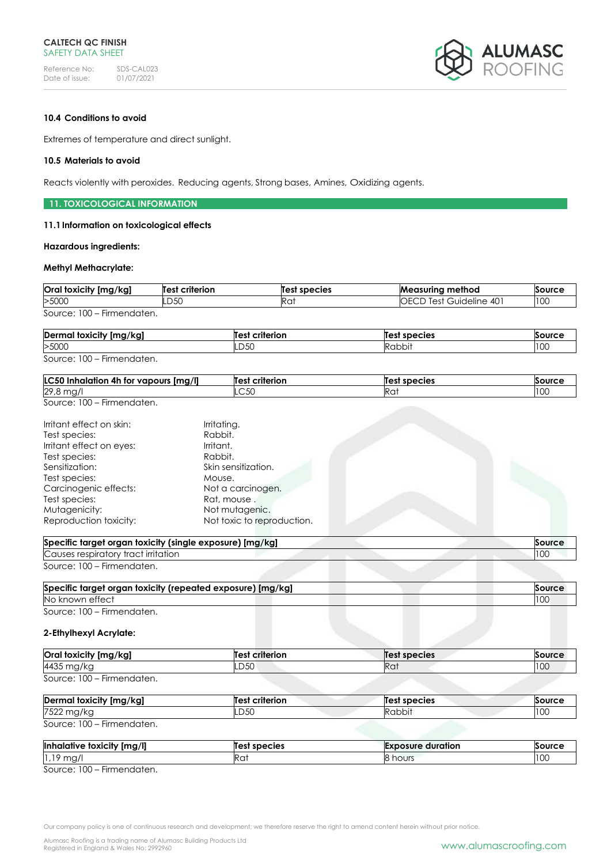

# **10.4 Conditions to avoid**

Extremes of temperature and direct sunlight.

### **10.5 Materials to avoid**

Reacts violently with peroxides. Reducing agents, Strong bases, Amines, Oxidizing agents.

### **11. TOXICOLOGICAL INFORMATION**

### **11.1Information on toxicological effects**

### **Hazardous ingredients:**

### **Methyl Methacrylate:**

| Oral toxicity [mg/kg]       | <b>Test criterion</b> | Test species | <b>Measuring method</b>         | Source |
|-----------------------------|-----------------------|--------------|---------------------------------|--------|
| >5000                       | .D50                  | KU.          | <b>IOECD Test Guideline 401</b> | 100    |
| Source: 100<br>Firmendaten. |                       |              |                                 |        |

| Dermal toxicity [mg/kg]    | <b>Test criterion</b> | Test species | Source |
|----------------------------|-----------------------|--------------|--------|
| >5000                      | LD50                  | Rabbit       | 100    |
| Source: 100 – Firmendaten. |                       |              |        |

| <b>LC50</b><br>[mg/l]<br><b>vapours</b><br>4h<br>inhalation<br>tor | criterion<br>$I^{\circ}$ | species  | Source                |
|--------------------------------------------------------------------|--------------------------|----------|-----------------------|
| 29,8<br>$\sim$<br>ں, ،<br>$\mathbf{y}$                             | $\sim$ 50<br>wu          | r<br>Rat | $\overline{2}$<br>טטו |
| $- \cdot$<br>0.100                                                 |                          |          |                       |

Source: 100 – Firmendaten.

| Irritant effect on skin: | Irritating.                |
|--------------------------|----------------------------|
| Test species:            | Rabbit.                    |
| Irritant effect on eyes: | Irritant.                  |
| Test species:            | Rabbit.                    |
| Sensitization:           | Skin sensitization.        |
| Test species:            | Mouse.                     |
| Carcinogenic effects:    | Not a carcinogen.          |
| Test species:            | Rat, mouse.                |
| Mutagenicity:            | Not mutagenic.             |
| Reproduction toxicity:   | Not toxic to reproduction. |

| Specific target organ toxicity (single exposure) [mg/kg] | Source |
|----------------------------------------------------------|--------|
| Causes respiratory tract irritation                      |        |
| Source: 100 – Firmendaten.                               |        |

| Specific target organ toxicity (repeated exposure) [mg/kg] |  |
|------------------------------------------------------------|--|
| No known effect                                            |  |
| $\sim$ $\sim$<br>$\sim$                                    |  |

Source: 100 – Firmendaten.

# **2-Ethylhexyl Acrylate:**

| Oral toxicity [mg/kg]      | <b>Test criterion</b> | Test species | Source |
|----------------------------|-----------------------|--------------|--------|
| 4435 mg/kg                 | LD50                  | Rat          | 100    |
| Source: 100 - Firmendaten. |                       |              |        |

| Dermal toxicity [mg/kg]    | <b>Test criterion</b> | Test species | Source |
|----------------------------|-----------------------|--------------|--------|
| 7522 mg/kg                 | ld50                  | Rabbit       | 100    |
| Source: 100 – Firmendaten. |                       |              |        |

| Inhalative toxicity [mg/l]                           | Test species | duration<br>Exposure | Source          |
|------------------------------------------------------|--------------|----------------------|-----------------|
| $0 \text{ ms}$<br>း၊ ၊ပ္ဘု<br>.                      | NU.          | hours                | $\Omega$<br>טטו |
| $- \cdot$<br>0.100<br>المراسية المتمرية المتحددات ال |              |                      |                 |

Source: 100 – Firmendaten.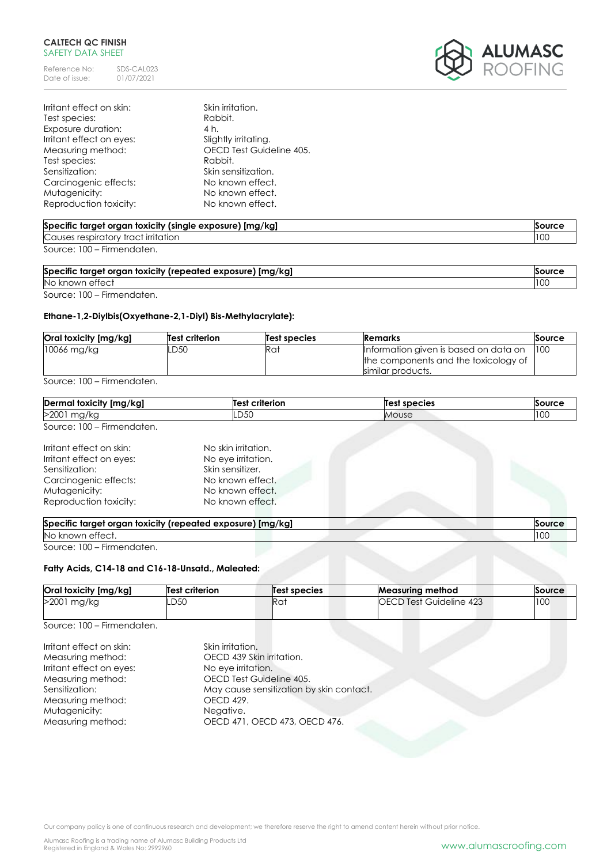Reference No: SDS-CAL023<br>Date of issue: 01/07/2021 Date of issue:



| Irritant effect on skin: | Skin irritation.         |
|--------------------------|--------------------------|
| Test species:            | Rabbit.                  |
| Exposure duration:       | 4 h.                     |
| Irritant effect on eyes: | Slightly irritating.     |
| Measuring method:        | OECD Test Guideline 405. |
| Test species:            | Rabbit.                  |
| Sensitization:           | Skin sensitization.      |
| Carcinogenic effects:    | No known effect.         |
| Mutagenicity:            | No known effect.         |
| Reproduction toxicity:   | No known effect.         |

| Specific target organ toxicity (single exposure) [mg/kg] | Source |
|----------------------------------------------------------|--------|
| Causes respiratory tract irritation                      | 10C    |
| Source: 100 – Firmendaten.                               |        |

| Specific target organ toxicity (repeated exposure) [mg/kg] | Source |
|------------------------------------------------------------|--------|
|                                                            |        |

No known effect 100 Source: 100 – Firmendaten.

# **Ethane-1,2-Diylbis(Oxyethane-2,1-Diyl) Bis-Methylacrylate):**

| Oral toxicity [mg/kg] | Test criterion | Test species | Remarks                               | Source |
|-----------------------|----------------|--------------|---------------------------------------|--------|
| $10066$ mg/kg         | LD50           | Rat          | Information given is based on data on | 100    |
|                       |                |              | the components and the toxicology of  |        |
|                       |                |              | similar products.                     |        |

Source: 100 – Firmendaten.

| Dermal toxicity [mg/kg]                                                                                                                    | Test criterion                                                                                                            | <b>Test species</b> | Source               |
|--------------------------------------------------------------------------------------------------------------------------------------------|---------------------------------------------------------------------------------------------------------------------------|---------------------|----------------------|
| >2001 mg/kg                                                                                                                                | LD50                                                                                                                      | Mouse               | 100                  |
| Source: 100 - Firmendaten.                                                                                                                 |                                                                                                                           |                     |                      |
| Irritant effect on skin:<br>Irritant effect on eyes:<br>Sensitization:<br>Carcinogenic effects:<br>Mutagenicity:<br>Reproduction toxicity: | No skin irritation.<br>No eye irritation.<br>Skin sensitizer.<br>No known effect.<br>No known effect.<br>No known effect. |                     |                      |
| Specific target organ toxicity (repeated exposure) [mg/kg]<br>No known effect.                                                             |                                                                                                                           |                     | <b>Source</b><br>100 |

Source: 100 – Firmendaten.

# **Fatty Acids, C14-18 and C16-18-Unsatd., Maleated:**

| Oral toxicity [mg/kg] | <b>Test criterion</b> | Test species     | <b>Measuring method</b>        | Source |
|-----------------------|-----------------------|------------------|--------------------------------|--------|
| >2001 mg/kg           | .D50                  | lRa <sup>.</sup> | <b>OECD Test Guideline 423</b> | 100    |

Source: 100 – Firmendaten.

| Irritant effect on skin: | Skin irritation.                         |
|--------------------------|------------------------------------------|
| Measuring method:        | OECD 439 Skin irritation.                |
| Irritant effect on eyes: | No eye irritation.                       |
| Measuring method:        | OECD Test Guideline 405.                 |
| Sensitization:           | May cause sensitization by skin contact. |
| Measuring method:        | OECD 429.                                |
| Mutagenicity:            | Negative.                                |
| Measuring method:        | OECD 471, OECD 473, OECD 476.            |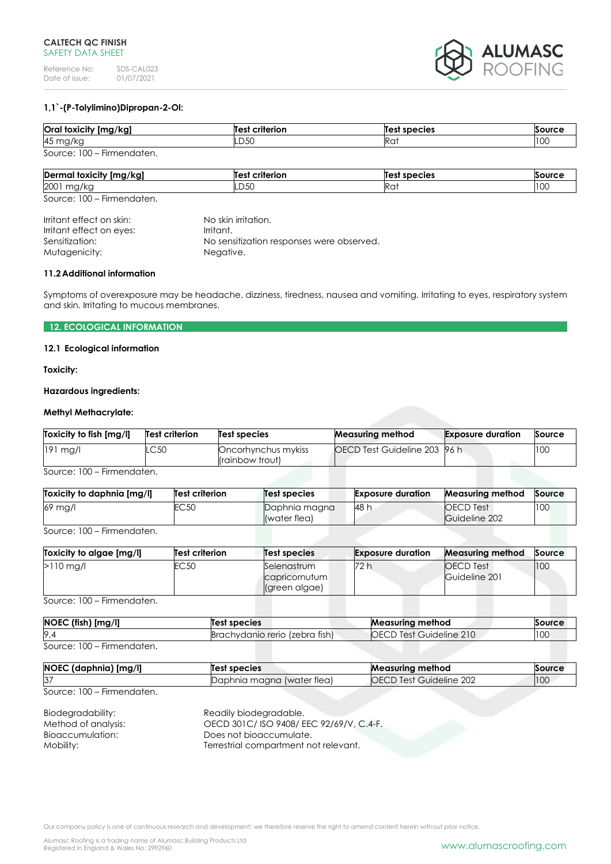

# **1,1`-(P-Tolylimino)Dipropan-2-Ol:**

| Oral toxicity [mg/kg]      | <b>Test criterion</b> | <b>Test species</b> | Source |
|----------------------------|-----------------------|---------------------|--------|
| 45 mg/kg                   | LD50                  | Rai                 | 100    |
| Source: 100 - Firmendaten. |                       |                     |        |

| <br>Dermal<br>! foxicity [mg/kg] | $\ddot{\phantom{0}}$<br>--------<br>m | Те<br>species   | $\sim$               |
|----------------------------------|---------------------------------------|-----------------|----------------------|
| 2001<br>ື<br>$\sim$              | $\sim$ $\sim$<br>-DJU                 | Ra <sup>.</sup> | $\sim$ $\sim$<br>ט ו |

Source: 100 – Firmendaten.

| Irritant effect on skin: | No skin irritation.                       |
|--------------------------|-------------------------------------------|
| Irritant effect on eyes: | Irritant.                                 |
| Sensitization:           | No sensitization responses were observed. |
| Mutagenicity:            | Negative.                                 |
|                          |                                           |

### **11.2Additional information**

Symptoms of overexposure may be headache, dizziness, tiredness, nausea and vomiting. Irritating to eyes, respiratory system and skin. Irritating to mucous membranes.

# **12. ECOLOGICAL INFORMATION**

### **12.1 Ecological information**

**Toxicity:**

### **Hazardous ingredients:**

# **Methyl Methacrylate:**

| Toxicity to fish [mg/l] | Test criterion | Test species                           | <b>Measuring method</b>      | <b>Exposure duration</b> | Source |
|-------------------------|----------------|----------------------------------------|------------------------------|--------------------------|--------|
| $191$ mg/l              | .C50           | Oncorhynchus mykiss<br>(rainbow trout) | OECD Test Guideline 203 96 h |                          | 100    |

Source: 100 – Firmendaten.

| Toxicity to daphnia [mg/l] | <b>Test criterion</b> | Test species                  | <b>Exposure duration</b> | <b>Measuring method</b>           | Source |
|----------------------------|-----------------------|-------------------------------|--------------------------|-----------------------------------|--------|
| 69 mg/l                    | EC 50                 | Daphnia magna<br>(water flea) | <b>48 h</b>              | <b>OECD</b> Test<br>Guideline 202 | 100    |

Source: 100 – Firmendaten.

| Toxicity to algae [mg/l] | <b>Test criterion</b> | <b>Test species</b>                           | <b>Exposure duration</b> | <b>Measuring method</b>           | Source |
|--------------------------|-----------------------|-----------------------------------------------|--------------------------|-----------------------------------|--------|
| $>110$ mg/l              | EC <sub>50</sub>      | Selenastrum<br>capricornutum<br>(green algae) | 72 h                     | <b>OECD</b> Test<br>Guideline 201 | 100    |

Source: 100 – Firmendaten.

| NOEC (fish) [mg/l]         | Test species                   | Measuring method               | Source |
|----------------------------|--------------------------------|--------------------------------|--------|
| 9.4                        | Brachydanio rerio (zebra fish) | <b>OECD Test Guideline 210</b> | 100    |
| Source: 100 – Firmendaten. |                                |                                |        |

| NOEC (daphnia) [mg/l] | liest species              | <b>Measuring method</b>        | Source |
|-----------------------|----------------------------|--------------------------------|--------|
| 37                    | Daphnia magna (water flea) | <b>OECD Test Guideline 202</b> | 100    |

Source: 100 – Firmendaten.

| Biodegradability:   | Readily biodegradable.                 |
|---------------------|----------------------------------------|
| Method of analysis: | OECD 301C/ISO 9408/EEC 92/69/V, C.4-F. |
| Bioaccumulation:    | Does not bioaccumulate.                |
| Mobility:           | Terrestrial compartment not relevant.  |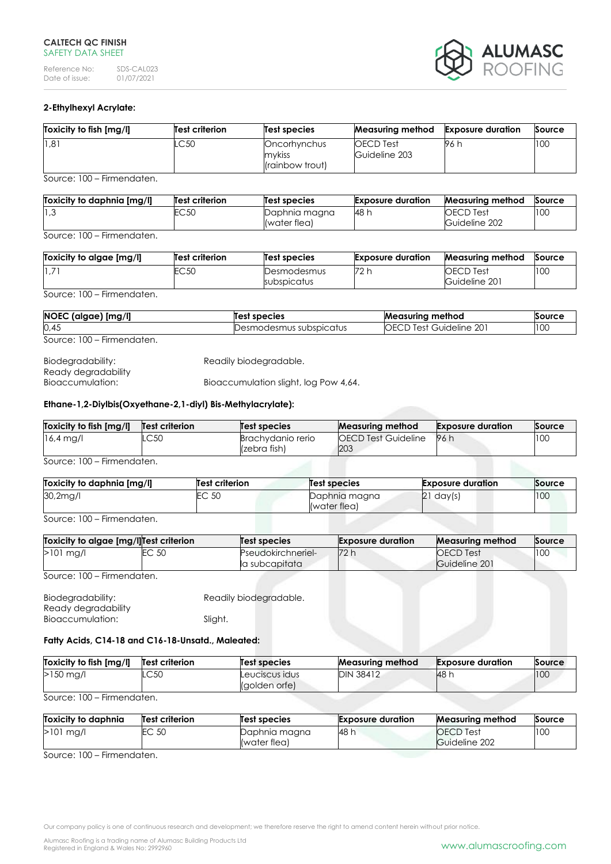Reference No: SDS-CAL023<br>Date of issue: 01/07/2021 Date of issue:



# **2-Ethylhexyl Acrylate:**

| Toxicity to fish [mg/l] | Test criterion | Test species                              | Measuring method                  | <b>Exposure duration</b> | Source |
|-------------------------|----------------|-------------------------------------------|-----------------------------------|--------------------------|--------|
| 1,81                    | .C50           | Oncorhynchus<br>mykiss<br>(rainbow trout) | <b>OECD</b> Test<br>Guideline 203 | 96 h                     | 100    |

Source: 100 – Firmendaten.

| Toxicity to daphnia Ima/II | <b>Test criterion</b> | Test species  | <b>Exposure duration</b> | Measurina method | Source |
|----------------------------|-----------------------|---------------|--------------------------|------------------|--------|
| 3، ا∣                      | EC50                  | Daphnia magna | 148 h                    | OECD Test        | 100    |
|                            |                       | (water flea)  |                          | Guideline 202    |        |

Source: 100 – Firmendaten.

| Toxicity to algae [mg/l] | Test criterion | Test species               | <b>Exposure duration</b> | <b>Measuring method</b>           | Source |
|--------------------------|----------------|----------------------------|--------------------------|-----------------------------------|--------|
| 1.7'                     | EC 50          | Desmodesmus<br>subspicatus | 72 h                     | <b>OECD</b> Test<br>Guideline 201 | 100    |

Source: 100 – Firmendaten.

| NOEC (algae) [mg/l]        | Test species              | <b>Measuring method</b>        | Source |
|----------------------------|---------------------------|--------------------------------|--------|
| 0,45                       | Desmodesmus subspicatus : | <b>OECD Test Guideline 201</b> | 100    |
| Source: 100 – Firmendaten. |                           |                                |        |

| Biodegradability:   | Readily biodegradable.                |
|---------------------|---------------------------------------|
| Ready degradability |                                       |
| Bioaccumulation:    | Bioaccumulation slight, log Pow 4,64. |

### **Ethane-1,2-Diylbis(Oxyethane-2,1-diyl) Bis-Methylacrylate):**

| Toxicity to fish [mg/l] | Test criterion | Test species                      | <b>Measuring method</b>           | <b>Exposure duration</b> | Source |
|-------------------------|----------------|-----------------------------------|-----------------------------------|--------------------------|--------|
| $16,4 \text{ mg/l}$     | .C50           | Brachvdanio rerio<br>(zebra fish) | <b>OECD Test Guideline</b><br>203 | 96 h                     | 100    |

Source: 100 – Firmendaten.

| Toxicity to daphnia [mg/l] | <b>Test criterion</b> | Test species                  | <b>Exposure duration</b> | Source |
|----------------------------|-----------------------|-------------------------------|--------------------------|--------|
| 30,2mg/l                   | EC 50                 | Daphnia magna<br>(water flea) | 21<br>day(s)             | 100    |

Source: 100 – Firmendaten.

| Toxicity to algae [mg/l]Test criterion |       | Test species                         | <b>Exposure duration</b> | <b>Measuring method</b>           | Source |
|----------------------------------------|-------|--------------------------------------|--------------------------|-----------------------------------|--------|
| $>101$ mg/l                            | EC 50 | Pseudokirchneriel-<br>la subcapitata | 72 h                     | <b>OECD</b> Test<br>Guideline 201 | 100    |

Source: 100 – Firmendaten.

| Biodegradability:   | Readily biodegradable. |  |
|---------------------|------------------------|--|
| Ready degradability |                        |  |
| Bioaccumulation:    | Sliaht.                |  |

# **Fatty Acids, C14-18 and C16-18-Unsatd., Maleated:**

| Toxicity to fish [mg/l]    | Test criterion | Test species                    | <b>Measuring method</b> | <b>Exposure duration</b> | Source |
|----------------------------|----------------|---------------------------------|-------------------------|--------------------------|--------|
| $>150$ mg/l                | LC50           | Leuciscus idus<br>(golden orfe) | <b>DIN 38412</b>        | <b>48 h</b>              | 100    |
| Source: 100 – Firmendaten. |                |                                 |                         |                          |        |

**Toxicity to daphnia [mg/l] Test criterion Test species Exposure duration Measuring method Source** EC 50 Daphnia magna (water flea) 48 h OECD Test Guideline 202 100

Source: 100 – Firmendaten.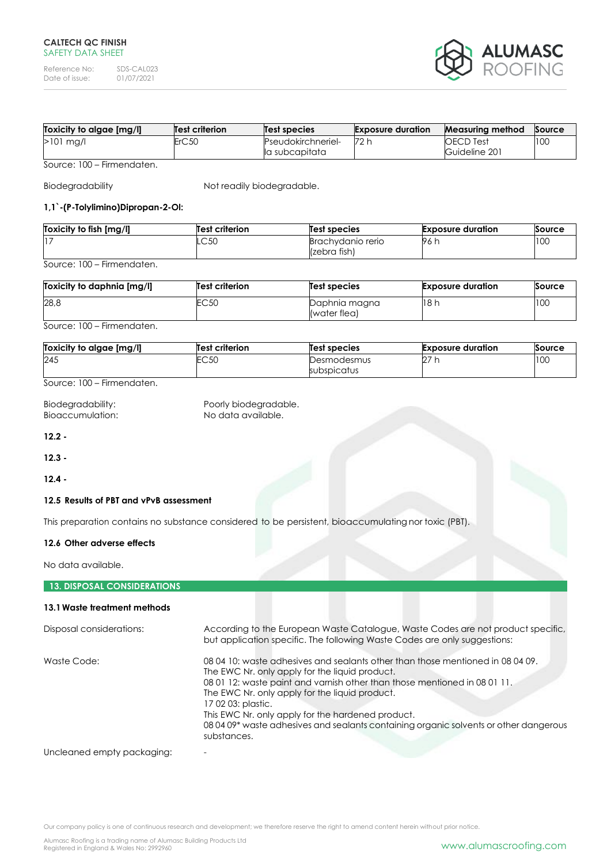Reference No: SDS-CAL023<br>Date of issue: 01/07/2021 Date of issue:



| [ Toxicity to algae [mg | Test criterion | Test species                                | <b>Exposure duration</b> | <b>Measuring method</b>    | Source |
|-------------------------|----------------|---------------------------------------------|--------------------------|----------------------------|--------|
| >101 mg/l               | ErC50          | <b>Pseudokirchneriel-</b><br>la subcapitata | 72 h                     | OECD Test<br>Guideline 201 | 10C    |

Source: 100 – Firmendaten.

Biodegradability Not readily biodegradable.

# **1,1`-(P-Tolylimino)Dipropan-2-Ol:**

| Toxicity to fish [mg/l] | Test criterion | <b>Test species</b>               | <b>Exposure duration</b> | Source |
|-------------------------|----------------|-----------------------------------|--------------------------|--------|
| 17                      | ⌒∽∩<br>∟ບບບ    | Brachvdanio rerio<br>(zebra fish) | - 196                    | 100    |

Source: 100 – Firmendaten.

| Toxicity to daphnia [mg/l] | Test criterion | <b>Test species</b>           | <b>Exposure duration</b> | Source |
|----------------------------|----------------|-------------------------------|--------------------------|--------|
| 28,8                       | EC50           | Daphnia magna<br>(water flea) | 18h                      | 100    |

# Source: 100 – Firmendaten.

| Toxicity to algae [mg/l] | <b>Test criterion</b> | <b>Test species</b>        | <b>Exposure duration</b> | Source |
|--------------------------|-----------------------|----------------------------|--------------------------|--------|
| 245                      | <b>EC 50</b><br>ヒしっし  | Desmodesmus<br>subspicatus | 27                       | 100    |

Source: 100 – Firmendaten.

| Biodegradability: | Poorly biodegradable. |
|-------------------|-----------------------|
| Bioaccumulation:  | No data available.    |

**12.2 -**

**12.3 -**

**12.4 -**

### **12.5 Results of PBT and vPvB assessment**

This preparation contains no substance considered to be persistent, bioaccumulating nor toxic (PBT).

### **12.6 Other adverse effects**

No data available.

# **13. DISPOSAL CONSIDERATIONS**

### **13.1Waste treatment methods**

| Disposal considerations: | According to the European Waste Catalogue, Waste Codes are not product specific,<br>but application specific. The following Waste Codes are only suggestions:                                                                                                                                                                                                                                                                                      |
|--------------------------|----------------------------------------------------------------------------------------------------------------------------------------------------------------------------------------------------------------------------------------------------------------------------------------------------------------------------------------------------------------------------------------------------------------------------------------------------|
| Waste Code:              | 08 04 10: waste adhesives and sealants other than those mentioned in 08 04 09.<br>The EWC Nr. only apply for the liquid product.<br>08 01 12: waste paint and varnish other than those mentioned in 08 01 11.<br>The EWC Nr. only apply for the liquid product.<br>17 02 03: plastic.<br>This EWC Nr. only apply for the hardened product.<br>08 04 09* waste adhesives and sealants containing organic solvents or other dangerous<br>substances. |
|                          |                                                                                                                                                                                                                                                                                                                                                                                                                                                    |

### Uncleaned empty packaging: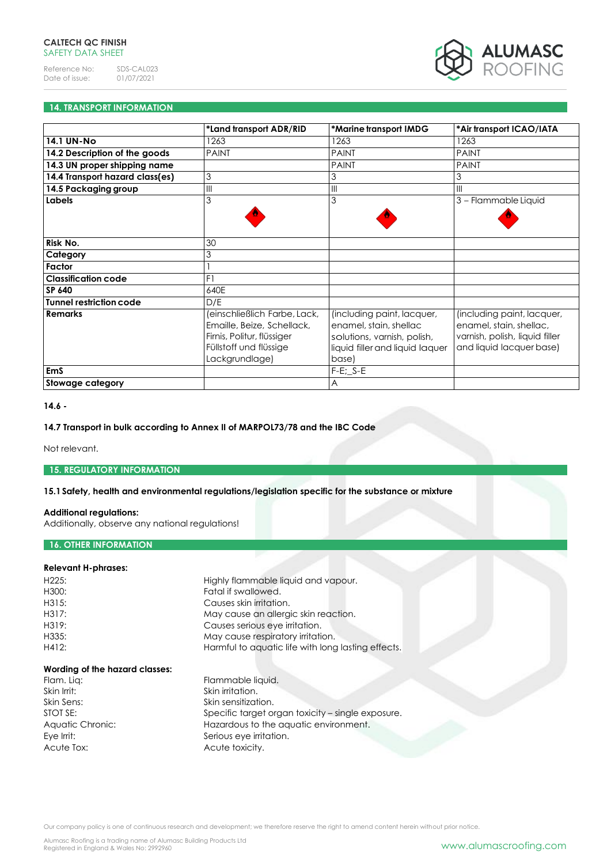

# **14. TRANSPORT INFORMATION**

|                                 | *Land transport ADR/RID                                                                                                              | *Marine transport IMDG                                                                                                          | *Air transport ICAO/IATA                                                                                            |
|---------------------------------|--------------------------------------------------------------------------------------------------------------------------------------|---------------------------------------------------------------------------------------------------------------------------------|---------------------------------------------------------------------------------------------------------------------|
| 14.1 UN-No                      | 1263                                                                                                                                 | 1263                                                                                                                            | 1263                                                                                                                |
| 14.2 Description of the goods   | <b>PAINT</b>                                                                                                                         | <b>PAINT</b>                                                                                                                    | <b>PAINT</b>                                                                                                        |
| 14.3 UN proper shipping name    |                                                                                                                                      | <b>PAINT</b>                                                                                                                    | <b>PAINT</b>                                                                                                        |
| 14.4 Transport hazard class(es) | 3                                                                                                                                    | 3                                                                                                                               | 3                                                                                                                   |
| 14.5 Packaging group            | $\mathbb{I}$                                                                                                                         | $\parallel$                                                                                                                     | $\mathbf{III}$                                                                                                      |
| Labels                          | 3                                                                                                                                    | 3                                                                                                                               | 3 - Flammable Liquid                                                                                                |
|                                 |                                                                                                                                      |                                                                                                                                 |                                                                                                                     |
|                                 |                                                                                                                                      |                                                                                                                                 |                                                                                                                     |
| Risk No.                        | 30                                                                                                                                   |                                                                                                                                 |                                                                                                                     |
| Category                        | 3                                                                                                                                    |                                                                                                                                 |                                                                                                                     |
| Factor                          |                                                                                                                                      |                                                                                                                                 |                                                                                                                     |
| <b>Classification code</b>      | F1                                                                                                                                   |                                                                                                                                 |                                                                                                                     |
| SP 640                          | 640E                                                                                                                                 |                                                                                                                                 |                                                                                                                     |
| Tunnel restriction code         | D/E                                                                                                                                  |                                                                                                                                 |                                                                                                                     |
| <b>Remarks</b>                  | (einschließlich Farbe, Lack,<br>Emaille, Beize, Schellack,<br>Firnis, Politur, flüssiger<br>Füllstoff und flüssige<br>Lackgrundlage) | (including paint, lacquer,<br>enamel, stain, shellac<br>solutions, varnish, polish,<br>liquid filler and liquid laquer<br>base) | (including paint, lacquer,<br>enamel, stain, shellac,<br>varnish, polish, liquid filler<br>and liquid lacquer base) |
| <b>EmS</b>                      |                                                                                                                                      | $F-E$ ; $S-E$                                                                                                                   |                                                                                                                     |
| <b>Stowage category</b>         |                                                                                                                                      | $\overline{A}$                                                                                                                  |                                                                                                                     |

### **14.6 -**

# **14.7 Transport in bulk according to Annex II of MARPOL73/78 and the IBC Code**

Not relevant.

# **15. REGULATORY INFORMATION**

# **15.1Safety, health and environmental regulations/legislation specific for the substance or mixture**

# **Additional regulations:**

Additionally, observe any national regulations!

# **16. OTHER INFORMATION**

# **Relevant H-phrases:**

| H <sub>225</sub> : | Highly flammable liquid and vapour.                |
|--------------------|----------------------------------------------------|
| H300:              | Fatal if swallowed.                                |
| H315:              | Causes skin irritation.                            |
| H317:              | May cause an allergic skin reaction.               |
| H319:              | Causes serious eye irritation.                     |
| H335:              | May cause respiratory irritation.                  |
| H412:              | Harmful to aquatic life with long lasting effects. |
|                    |                                                    |

# **Wording of the hazard classes:**

Skin Irrit: Skin irritation. Acute Tox: Acute toxicity.

Flammable liquid. Skin Sens: Skin sensitization. STOT SE: Specific target organ toxicity – single exposure. Aquatic Chronic: Hazardous to the aquatic environment. Eye Irrit: Serious eye irritation.